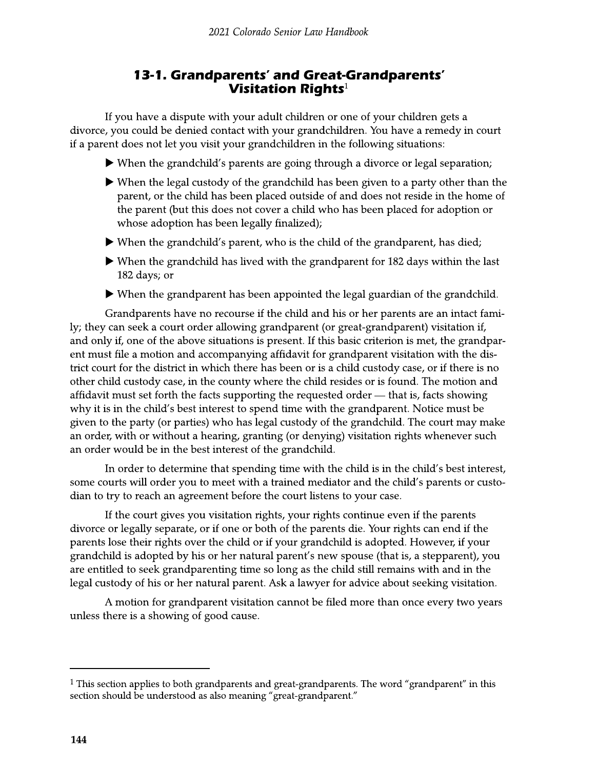# 13-1. Grandparents' and Great-Grandparents' **Visitation Rights**<sup>1</sup>

If you have a dispute with your adult children or one of your children gets a divorce, you could be denied contact with your grandchildren. You have a remedy in court if a parent does not let you visit your grandchildren in the following situations:

- $\blacktriangleright$  When the grandchild's parents are going through a divorce or legal separation;
- $\blacktriangleright$  When the legal custody of the grandchild has been given to a party other than the parent, or the child has been placed outside of and does not reside in the home of the parent (but this does not cover a child who has been placed for adoption or whose adoption has been legally finalized);
- $\blacktriangleright$  When the grandchild's parent, who is the child of the grandparent, has died;
- $\blacktriangleright$  When the grandchild has lived with the grandparent for 182 days within the last 182 days; or
- $\triangleright$  When the grandparent has been appointed the legal guardian of the grandchild.

Grandparents have no recourse if the child and his or her parents are an intact family; they can seek a court order allowing grandparent (or great-grandparent) visitation if, and only if, one of the above situations is present. If this basic criterion is met, the grandparent must file a motion and accompanying affidavit for grandparent visitation with the district court for the district in which there has been or is a child custody case, or if there is no other child custody case, in the county where the child resides or is found. The motion and affidavit must set forth the facts supporting the requested order - that is, facts showing why it is in the child's best interest to spend time with the grandparent. Notice must be given to the party (or parties) who has legal custody of the grandchild. The court may make an order, with or without a hearing, granting (or denying) visitation rights whenever such an order would be in the best interest of the grandchild.

In order to determine that spending time with the child is in the child's best interest, some courts will order you to meet with a trained mediator and the child's parents or custodian to try to reach an agreement before the court listens to your case.

If the court gives you visitation rights, your rights continue even if the parents divorce or legally separate, or if one or both of the parents die. Your rights can end if the parents lose their rights over the child or if your grandchild is adopted. However, if your grandchild is adopted by his or her natural parent's new spouse (that is, a stepparent), you are entitled to seek grandparenting time so long as the child still remains with and in the legal custody of his or her natural parent. Ask a lawyer for advice about seeking visitation.

A motion for grandparent visitation cannot be filed more than once every two years unless there is a showing of good cause.

<sup>&</sup>lt;sup>1</sup> This section applies to both grandparents and great-grandparents. The word "grandparent" in this section should be understood as also meaning "great-grandparent."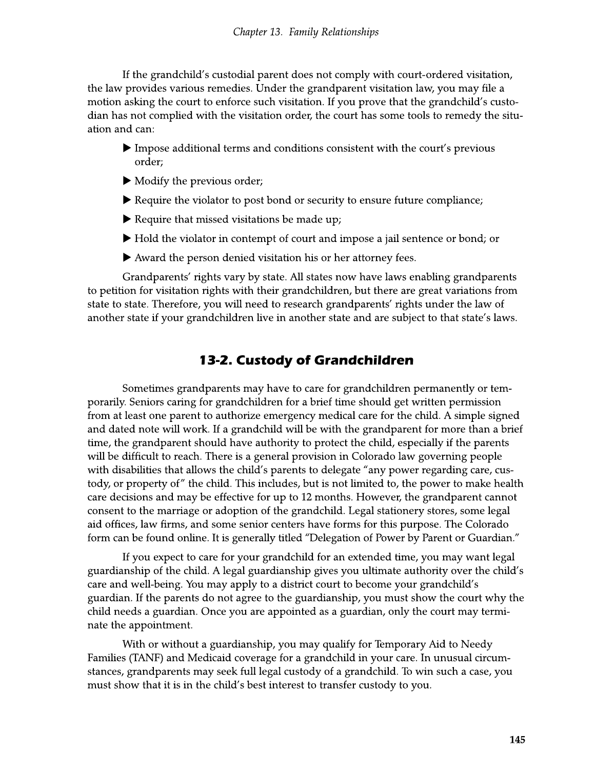If the grandchild's custodial parent does not comply with court-ordered visitation, the law provides various remedies. Under the grandparent visitation law, you may file a motion asking the court to enforce such visitation. If you prove that the grandchild's custodian has not complied with the visitation order, the court has some tools to remedy the situation and can:

- Impose additional terms and conditions consistent with the court's previous order:
- $\blacktriangleright$  Modify the previous order;
- $\blacktriangleright$  Require the violator to post bond or security to ensure future compliance;
- $\blacktriangleright$  Require that missed visitations be made up;
- Hold the violator in contempt of court and impose a jail sentence or bond; or
- $\blacktriangleright$  Award the person denied visitation his or her attorney fees.

Grandparents' rights vary by state. All states now have laws enabling grandparents to petition for visitation rights with their grandchildren, but there are great variations from state to state. Therefore, you will need to research grandparents' rights under the law of another state if your grandchildren live in another state and are subject to that state's laws.

# 13-2. Custody of Grandchildren

Sometimes grandparents may have to care for grandchildren permanently or temporarily. Seniors caring for grandchildren for a brief time should get written permission from at least one parent to authorize emergency medical care for the child. A simple signed and dated note will work. If a grandchild will be with the grandparent for more than a brief time, the grandparent should have authority to protect the child, especially if the parents will be difficult to reach. There is a general provision in Colorado law governing people with disabilities that allows the child's parents to delegate "any power regarding care, custody, or property of" the child. This includes, but is not limited to, the power to make health care decisions and may be effective for up to 12 months. However, the grandparent cannot consent to the marriage or adoption of the grandchild. Legal stationery stores, some legal aid offices, law firms, and some senior centers have forms for this purpose. The Colorado form can be found online. It is generally titled "Delegation of Power by Parent or Guardian."

If you expect to care for your grandchild for an extended time, you may want legal guardianship of the child. A legal guardianship gives you ultimate authority over the child's care and well-being. You may apply to a district court to become your grandchild's guardian. If the parents do not agree to the guardianship, you must show the court why the child needs a guardian. Once you are appointed as a guardian, only the court may terminate the appointment.

With or without a guardianship, you may qualify for Temporary Aid to Needy Families (TANF) and Medicaid coverage for a grandchild in your care. In unusual circumstances, grandparents may seek full legal custody of a grandchild. To win such a case, you must show that it is in the child's best interest to transfer custody to you.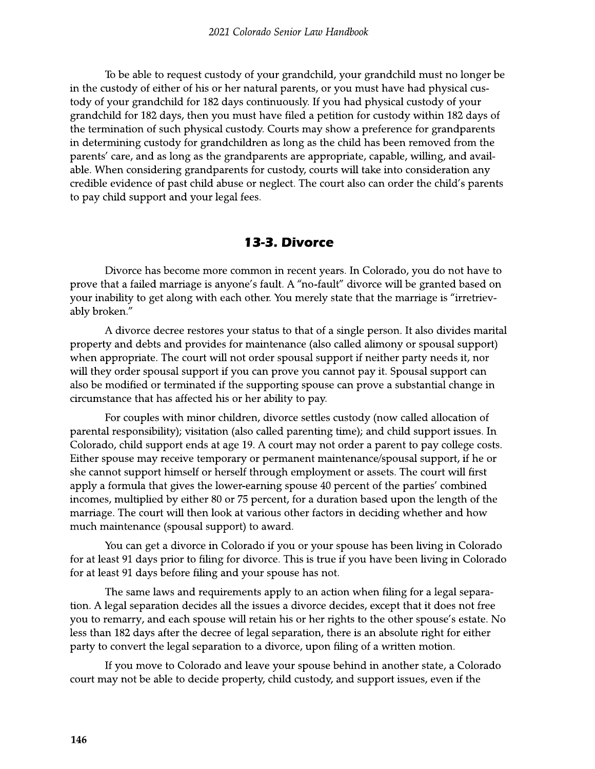To be able to request custody of your grandchild, your grandchild must no longer be in the custody of either of his or her natural parents, or you must have had physical custody of your grandchild for 182 days continuously. If you had physical custody of your grandchild for 182 days, then you must have filed a petition for custody within 182 days of the termination of such physical custody. Courts may show a preference for grandparents in determining custody for grandchildren as long as the child has been removed from the parents' care, and as long as the grandparents are appropriate, capable, willing, and available. When considering grandparents for custody, courts will take into consideration any credible evidence of past child abuse or neglect. The court also can order the child's parents to pay child support and your legal fees.

# 13-3. Divorce

Divorce has become more common in recent years. In Colorado, you do not have to prove that a failed marriage is anyone's fault. A "no-fault" divorce will be granted based on your inability to get along with each other. You merely state that the marriage is "irretrievably broken."

A divorce decree restores your status to that of a single person. It also divides marital property and debts and provides for maintenance (also called alimony or spousal support) when appropriate. The court will not order spousal support if neither party needs it, nor will they order spousal support if you can prove you cannot pay it. Spousal support can also be modified or terminated if the supporting spouse can prove a substantial change in circumstance that has affected his or her ability to pay.

For couples with minor children, divorce settles custody (now called allocation of parental responsibility); visitation (also called parenting time); and child support issues. In Colorado, child support ends at age 19. A court may not order a parent to pay college costs. Either spouse may receive temporary or permanent maintenance/spousal support, if he or she cannot support himself or herself through employment or assets. The court will first apply a formula that gives the lower-earning spouse 40 percent of the parties' combined incomes, multiplied by either 80 or 75 percent, for a duration based upon the length of the marriage. The court will then look at various other factors in deciding whether and how much maintenance (spousal support) to award.

You can get a divorce in Colorado if you or your spouse has been living in Colorado for at least 91 days prior to filing for divorce. This is true if you have been living in Colorado for at least 91 days before filing and your spouse has not.

The same laws and requirements apply to an action when filing for a legal separation. A legal separation decides all the issues a divorce decides, except that it does not free you to remarry, and each spouse will retain his or her rights to the other spouse's estate. No less than 182 days after the decree of legal separation, there is an absolute right for either party to convert the legal separation to a divorce, upon filing of a written motion.

If you move to Colorado and leave your spouse behind in another state, a Colorado court may not be able to decide property, child custody, and support issues, even if the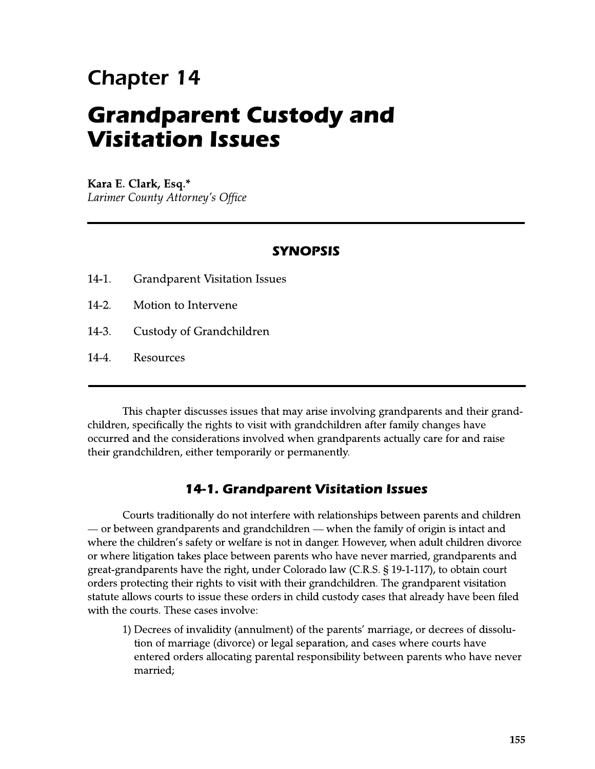# **Chapter 14**

# **Grandparent Custody and Visitation Issues**

Kara E. Clark, Esq.\* Larimer County Attorney's Office

## **SYNOPSIS**

- $14-1.$ **Grandparent Visitation Issues**
- $14-2.$ Motion to Intervene
- $14-3.$ Custody of Grandchildren
- 14-4. Resources

This chapter discusses issues that may arise involving grandparents and their grandchildren, specifically the rights to visit with grandchildren after family changes have occurred and the considerations involved when grandparents actually care for and raise their grandchildren, either temporarily or permanently.

# **14-1. Grandparent Visitation Issues**

Courts traditionally do not interfere with relationships between parents and children — or between grandparents and grandchildren — when the family of origin is intact and where the children's safety or welfare is not in danger. However, when adult children divorce or where litigation takes place between parents who have never married, grandparents and great-grandparents have the right, under Colorado law (C.R.S. § 19-1-117), to obtain court orders protecting their rights to visit with their grandchildren. The grandparent visitation statute allows courts to issue these orders in child custody cases that already have been filed with the courts. These cases involve:

1) Decrees of invalidity (annulment) of the parents' marriage, or decrees of dissolution of marriage (divorce) or legal separation, and cases where courts have entered orders allocating parental responsibility between parents who have never married;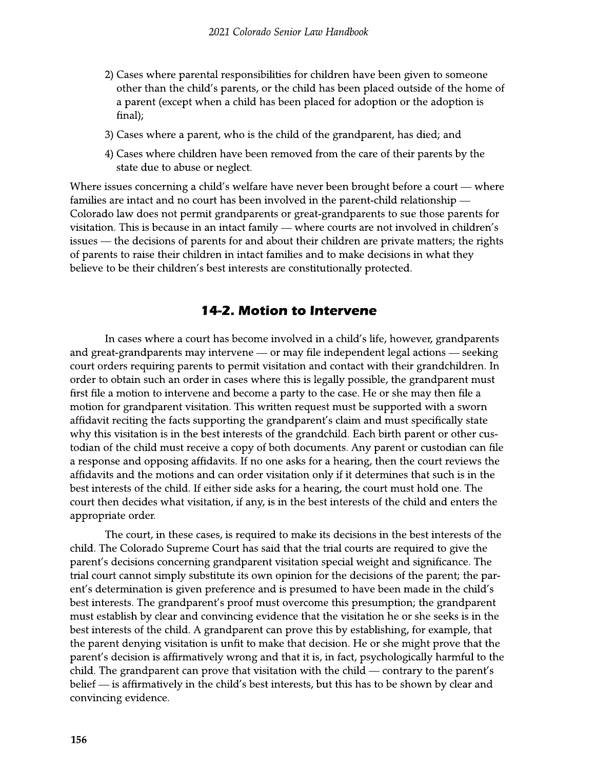- 2) Cases where parental responsibilities for children have been given to someone other than the child's parents, or the child has been placed outside of the home of a parent (except when a child has been placed for adoption or the adoption is final);
- 3) Cases where a parent, who is the child of the grandparent, has died; and
- 4) Cases where children have been removed from the care of their parents by the state due to abuse or neglect.

Where issues concerning a child's welfare have never been brought before a court — where families are intact and no court has been involved in the parent-child relationship -Colorado law does not permit grandparents or great-grandparents to sue those parents for visitation. This is because in an intact family — where courts are not involved in children's issues — the decisions of parents for and about their children are private matters; the rights of parents to raise their children in intact families and to make decisions in what they believe to be their children's best interests are constitutionally protected.

# 14-2. Motion to Intervene

In cases where a court has become involved in a child's life, however, grandparents and great-grandparents may intervene - or may file independent legal actions - seeking court orders requiring parents to permit visitation and contact with their grandchildren. In order to obtain such an order in cases where this is legally possible, the grandparent must first file a motion to intervene and become a party to the case. He or she may then file a motion for grandparent visitation. This written request must be supported with a sworn affidavit reciting the facts supporting the grandparent's claim and must specifically state why this visitation is in the best interests of the grandchild. Each birth parent or other custodian of the child must receive a copy of both documents. Any parent or custodian can file a response and opposing affidavits. If no one asks for a hearing, then the court reviews the affidavits and the motions and can order visitation only if it determines that such is in the best interests of the child. If either side asks for a hearing, the court must hold one. The court then decides what visitation, if any, is in the best interests of the child and enters the appropriate order.

The court, in these cases, is required to make its decisions in the best interests of the child. The Colorado Supreme Court has said that the trial courts are required to give the parent's decisions concerning grandparent visitation special weight and significance. The trial court cannot simply substitute its own opinion for the decisions of the parent; the parent's determination is given preference and is presumed to have been made in the child's best interests. The grandparent's proof must overcome this presumption; the grandparent must establish by clear and convincing evidence that the visitation he or she seeks is in the best interests of the child. A grandparent can prove this by establishing, for example, that the parent denying visitation is unfit to make that decision. He or she might prove that the parent's decision is affirmatively wrong and that it is, in fact, psychologically harmful to the child. The grandparent can prove that visitation with the child — contrary to the parent's belief - is affirmatively in the child's best interests, but this has to be shown by clear and convincing evidence.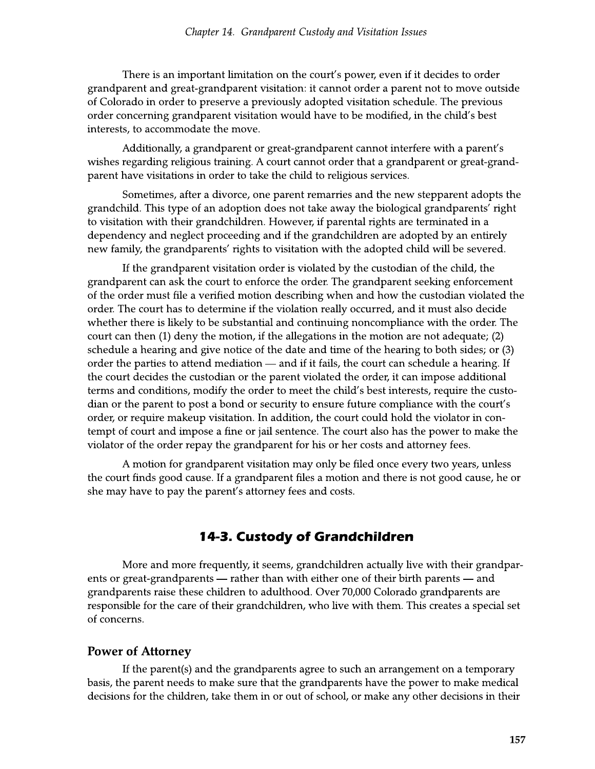There is an important limitation on the court's power, even if it decides to order grandparent and great-grandparent visitation: it cannot order a parent not to move outside of Colorado in order to preserve a previously adopted visitation schedule. The previous order concerning grandparent visitation would have to be modified, in the child's best interests, to accommodate the move.

Additionally, a grandparent or great-grandparent cannot interfere with a parent's wishes regarding religious training. A court cannot order that a grandparent or great-grandparent have visitations in order to take the child to religious services.

Sometimes, after a divorce, one parent remarries and the new stepparent adopts the grandchild. This type of an adoption does not take away the biological grandparents' right to visitation with their grandchildren. However, if parental rights are terminated in a dependency and neglect proceeding and if the grandchildren are adopted by an entirely new family, the grandparents' rights to visitation with the adopted child will be severed.

If the grandparent visitation order is violated by the custodian of the child, the grandparent can ask the court to enforce the order. The grandparent seeking enforcement of the order must file a verified motion describing when and how the custodian violated the order. The court has to determine if the violation really occurred, and it must also decide whether there is likely to be substantial and continuing noncompliance with the order. The court can then (1) deny the motion, if the allegations in the motion are not adequate; (2) schedule a hearing and give notice of the date and time of the hearing to both sides; or (3) order the parties to attend mediation — and if it fails, the court can schedule a hearing. If the court decides the custodian or the parent violated the order, it can impose additional terms and conditions, modify the order to meet the child's best interests, require the custodian or the parent to post a bond or security to ensure future compliance with the court's order, or require makeup visitation. In addition, the court could hold the violator in contempt of court and impose a fine or jail sentence. The court also has the power to make the violator of the order repay the grandparent for his or her costs and attorney fees.

A motion for grandparent visitation may only be filed once every two years, unless the court finds good cause. If a grandparent files a motion and there is not good cause, he or she may have to pay the parent's attorney fees and costs.

# 14-3. Custody of Grandchildren

More and more frequently, it seems, grandchildren actually live with their grandparents or great-grandparents — rather than with either one of their birth parents — and grandparents raise these children to adulthood. Over 70,000 Colorado grandparents are responsible for the care of their grandchildren, who live with them. This creates a special set of concerns.

#### **Power of Attorney**

If the parent(s) and the grandparents agree to such an arrangement on a temporary basis, the parent needs to make sure that the grandparents have the power to make medical decisions for the children, take them in or out of school, or make any other decisions in their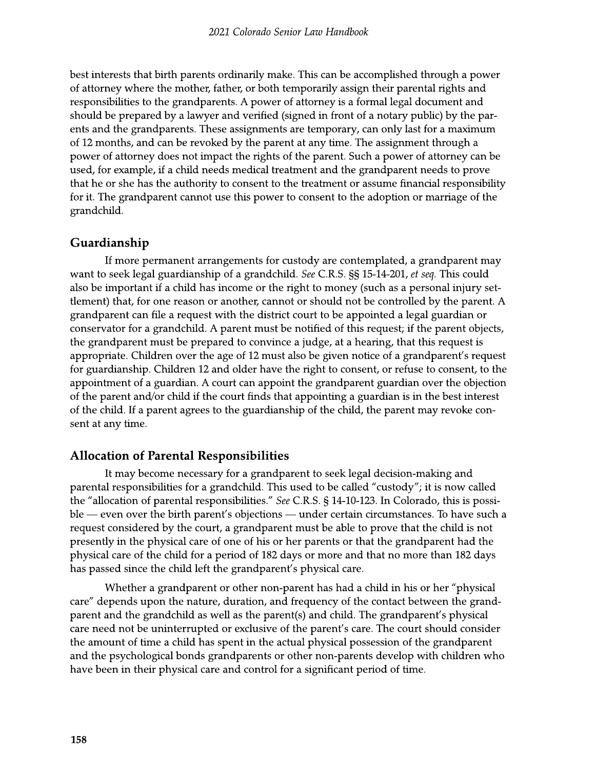best interests that birth parents ordinarily make. This can be accomplished through a power of attorney where the mother, father, or both temporarily assign their parental rights and responsibilities to the grandparents. A power of attorney is a formal legal document and should be prepared by a lawyer and verified (signed in front of a notary public) by the parents and the grandparents. These assignments are temporary, can only last for a maximum of 12 months, and can be revoked by the parent at any time. The assignment through a power of attorney does not impact the rights of the parent. Such a power of attorney can be used, for example, if a child needs medical treatment and the grandparent needs to prove that he or she has the authority to consent to the treatment or assume financial responsibility for it. The grandparent cannot use this power to consent to the adoption or marriage of the grandchild.

## Guardianship

If more permanent arrangements for custody are contemplated, a grandparent may want to seek legal guardianship of a grandchild. See C.R.S. SS 15-14-201, et seq. This could also be important if a child has income or the right to money (such as a personal injury settlement) that, for one reason or another, cannot or should not be controlled by the parent. A grandparent can file a request with the district court to be appointed a legal guardian or conservator for a grandchild. A parent must be notified of this request; if the parent objects, the grandparent must be prepared to convince a judge, at a hearing, that this request is appropriate. Children over the age of 12 must also be given notice of a grandparent's request for guardianship. Children 12 and older have the right to consent, or refuse to consent, to the appointment of a guardian. A court can appoint the grandparent guardian over the objection of the parent and/or child if the court finds that appointing a guardian is in the best interest of the child. If a parent agrees to the guardianship of the child, the parent may revoke consent at any time.

## **Allocation of Parental Responsibilities**

It may become necessary for a grandparent to seek legal decision-making and parental responsibilities for a grandchild. This used to be called "custody"; it is now called the "allocation of parental responsibilities." See C.R.S. § 14-10-123. In Colorado, this is possible — even over the birth parent's objections — under certain circumstances. To have such a request considered by the court, a grandparent must be able to prove that the child is not presently in the physical care of one of his or her parents or that the grandparent had the physical care of the child for a period of 182 days or more and that no more than 182 days has passed since the child left the grandparent's physical care.

Whether a grandparent or other non-parent has had a child in his or her "physical care" depends upon the nature, duration, and frequency of the contact between the grandparent and the grandchild as well as the parent(s) and child. The grandparent's physical care need not be uninterrupted or exclusive of the parent's care. The court should consider the amount of time a child has spent in the actual physical possession of the grandparent and the psychological bonds grandparents or other non-parents develop with children who have been in their physical care and control for a significant period of time.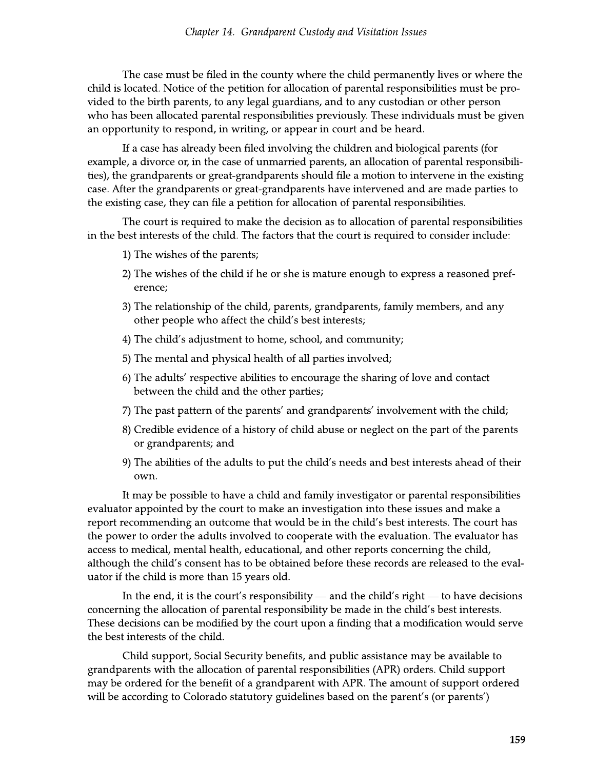The case must be filed in the county where the child permanently lives or where the child is located. Notice of the petition for allocation of parental responsibilities must be provided to the birth parents, to any legal guardians, and to any custodian or other person who has been allocated parental responsibilities previously. These individuals must be given an opportunity to respond, in writing, or appear in court and be heard.

If a case has already been filed involving the children and biological parents (for example, a divorce or, in the case of unmarried parents, an allocation of parental responsibilities), the grandparents or great-grandparents should file a motion to intervene in the existing case. After the grandparents or great-grandparents have intervened and are made parties to the existing case, they can file a petition for allocation of parental responsibilities.

The court is required to make the decision as to allocation of parental responsibilities in the best interests of the child. The factors that the court is required to consider include:

- 1) The wishes of the parents;
- 2) The wishes of the child if he or she is mature enough to express a reasoned preference;
- 3) The relationship of the child, parents, grandparents, family members, and any other people who affect the child's best interests;
- 4) The child's adjustment to home, school, and community;
- 5) The mental and physical health of all parties involved;
- 6) The adults' respective abilities to encourage the sharing of love and contact between the child and the other parties;
- 7) The past pattern of the parents' and grandparents' involvement with the child;
- 8) Credible evidence of a history of child abuse or neglect on the part of the parents or grandparents; and
- 9) The abilities of the adults to put the child's needs and best interests ahead of their own.

It may be possible to have a child and family investigator or parental responsibilities evaluator appointed by the court to make an investigation into these issues and make a report recommending an outcome that would be in the child's best interests. The court has the power to order the adults involved to cooperate with the evaluation. The evaluator has access to medical, mental health, educational, and other reports concerning the child, although the child's consent has to be obtained before these records are released to the evaluator if the child is more than 15 years old.

In the end, it is the court's responsibility — and the child's right — to have decisions concerning the allocation of parental responsibility be made in the child's best interests. These decisions can be modified by the court upon a finding that a modification would serve the best interests of the child.

Child support, Social Security benefits, and public assistance may be available to grandparents with the allocation of parental responsibilities (APR) orders. Child support may be ordered for the benefit of a grandparent with APR. The amount of support ordered will be according to Colorado statutory guidelines based on the parent's (or parents')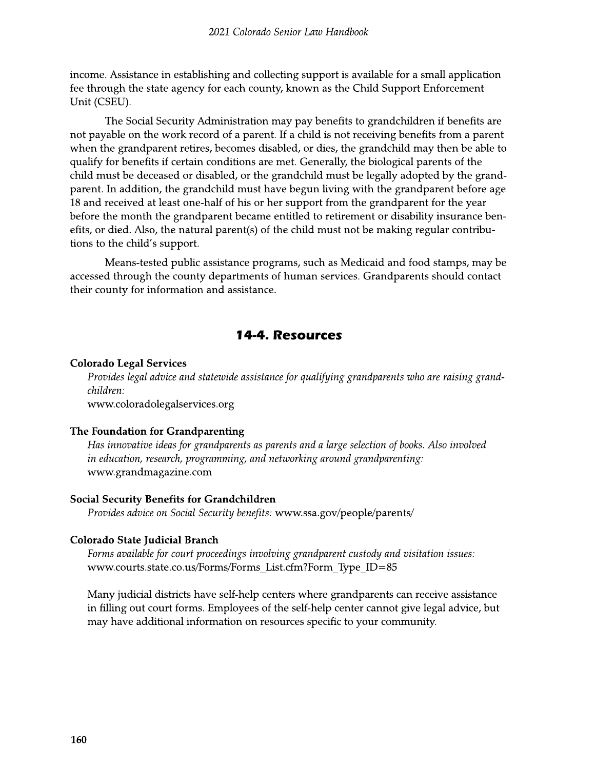income. Assistance in establishing and collecting support is available for a small application fee through the state agency for each county, known as the Child Support Enforcement Unit (CSEU).

The Social Security Administration may pay benefits to grandchildren if benefits are not payable on the work record of a parent. If a child is not receiving benefits from a parent when the grandparent retires, becomes disabled, or dies, the grandchild may then be able to qualify for benefits if certain conditions are met. Generally, the biological parents of the child must be deceased or disabled, or the grandchild must be legally adopted by the grandparent. In addition, the grandchild must have begun living with the grandparent before age 18 and received at least one-half of his or her support from the grandparent for the year before the month the grandparent became entitled to retirement or disability insurance benefits, or died. Also, the natural parent(s) of the child must not be making regular contributions to the child's support.

Means-tested public assistance programs, such as Medicaid and food stamps, may be accessed through the county departments of human services. Grandparents should contact their county for information and assistance.

# 14-4. Resources

#### **Colorado Legal Services**

Provides legal advice and statewide assistance for qualifying grandparents who are raising grandchildren:

www.coloradolegalservices.org

#### The Foundation for Grandparenting

Has innovative ideas for grandparents as parents and a large selection of books. Also involved in education, research, programming, and networking around grandparenting: www.grandmagazine.com

#### **Social Security Benefits for Grandchildren**

Provides advice on Social Security benefits: www.ssa.gov/people/parents/

#### Colorado State Judicial Branch

Forms available for court proceedings involving grandparent custody and visitation issues: www.courts.state.co.us/Forms/Forms List.cfm?Form Type ID=85

Many judicial districts have self-help centers where grandparents can receive assistance in filling out court forms. Employees of the self-help center cannot give legal advice, but may have additional information on resources specific to your community.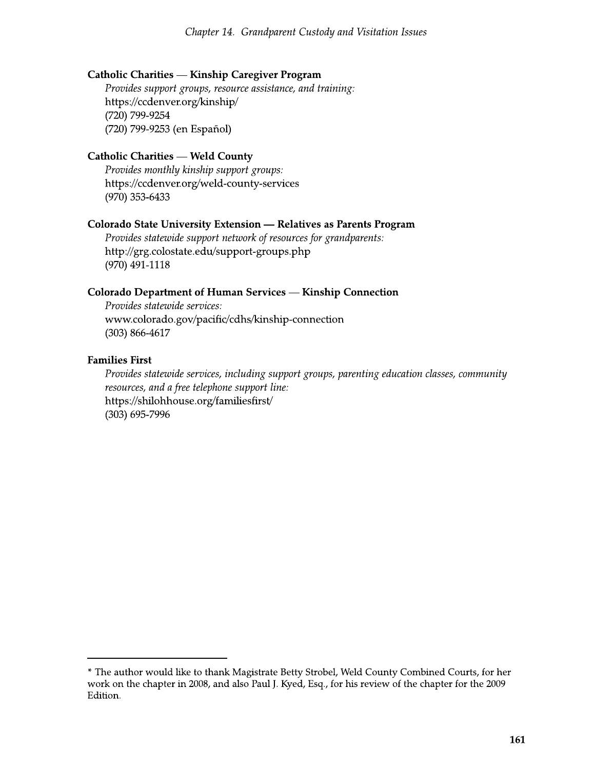#### **Catholic Charities - Kinship Caregiver Program**

Provides support groups, resource assistance, and training: https://ccdenver.org/kinship/ (720) 799-9254 (720) 799-9253 (en Español)

#### **Catholic Charities - Weld County**

Provides monthly kinship support groups: https://ccdenver.org/weld-county-services  $(970)$  353-6433

#### Colorado State University Extension - Relatives as Parents Program

Provides statewide support network of resources for grandparents: http://grg.colostate.edu/support-groups.php  $(970)$  491-1118

#### **Colorado Department of Human Services — Kinship Connection**

Provides statewide services: www.colorado.gov/pacific/cdhs/kinship-connection  $(303) 866 - 4617$ 

#### **Families First**

Provides statewide services, including support groups, parenting education classes, community resources, and a free telephone support line: https://shilohhouse.org/familiesfirst/  $(303) 695 - 7996$ 

<sup>\*</sup> The author would like to thank Magistrate Betty Strobel, Weld County Combined Courts, for her work on the chapter in 2008, and also Paul J. Kyed, Esq., for his review of the chapter for the 2009 Edition.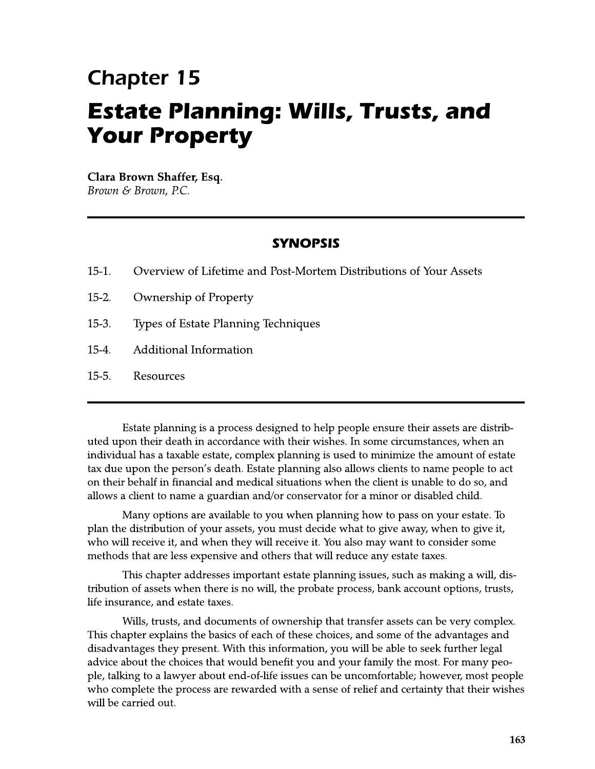# **Chapter 15 Estate Planning: Wills, Trusts, and Your Property**

Clara Brown Shaffer, Esq. Brown & Brown, P.C.

# **SYNOPSIS**

Overview of Lifetime and Post-Mortem Distributions of Your Assets  $15-1.$ 

 $15-2.$ **Ownership of Property** 

Types of Estate Planning Techniques  $15-3.$ 

 $15-4.$ **Additional Information** 

 $15-5.$ Resources

Estate planning is a process designed to help people ensure their assets are distributed upon their death in accordance with their wishes. In some circumstances, when an individual has a taxable estate, complex planning is used to minimize the amount of estate tax due upon the person's death. Estate planning also allows clients to name people to act on their behalf in financial and medical situations when the client is unable to do so, and allows a client to name a guardian and/or conservator for a minor or disabled child.

Many options are available to you when planning how to pass on your estate. To plan the distribution of your assets, you must decide what to give away, when to give it, who will receive it, and when they will receive it. You also may want to consider some methods that are less expensive and others that will reduce any estate taxes.

This chapter addresses important estate planning issues, such as making a will, distribution of assets when there is no will, the probate process, bank account options, trusts, life insurance, and estate taxes.

Wills, trusts, and documents of ownership that transfer assets can be very complex. This chapter explains the basics of each of these choices, and some of the advantages and disadvantages they present. With this information, you will be able to seek further legal advice about the choices that would benefit you and your family the most. For many people, talking to a lawyer about end-of-life issues can be uncomfortable; however, most people who complete the process are rewarded with a sense of relief and certainty that their wishes will be carried out.